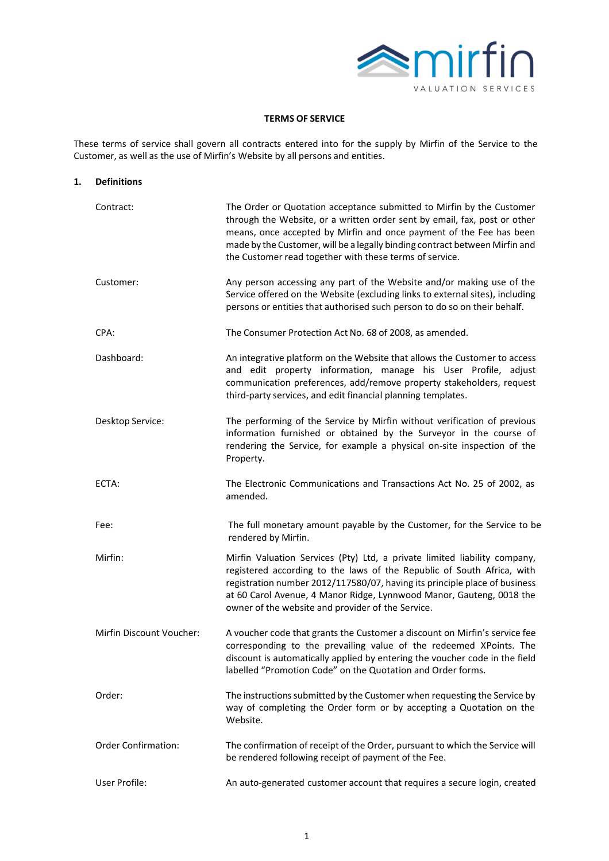

# **TERMS OF SERVICE**

These terms of service shall govern all contracts entered into for the supply by Mirfin of the Service to the Customer, as well as the use of Mirfin's Website by all persons and entities.

**1. Definitions**

| <b>Definitions</b>         |                                                                                                                                                                                                                                                                                                                                                                     |  |
|----------------------------|---------------------------------------------------------------------------------------------------------------------------------------------------------------------------------------------------------------------------------------------------------------------------------------------------------------------------------------------------------------------|--|
| Contract:                  | The Order or Quotation acceptance submitted to Mirfin by the Customer<br>through the Website, or a written order sent by email, fax, post or other<br>means, once accepted by Mirfin and once payment of the Fee has been<br>made by the Customer, will be a legally binding contract between Mirfin and<br>the Customer read together with these terms of service. |  |
| Customer:                  | Any person accessing any part of the Website and/or making use of the<br>Service offered on the Website (excluding links to external sites), including<br>persons or entities that authorised such person to do so on their behalf.                                                                                                                                 |  |
| CPA:                       | The Consumer Protection Act No. 68 of 2008, as amended.                                                                                                                                                                                                                                                                                                             |  |
| Dashboard:                 | An integrative platform on the Website that allows the Customer to access<br>and edit property information, manage his User Profile, adjust<br>communication preferences, add/remove property stakeholders, request<br>third-party services, and edit financial planning templates.                                                                                 |  |
| Desktop Service:           | The performing of the Service by Mirfin without verification of previous<br>information furnished or obtained by the Surveyor in the course of<br>rendering the Service, for example a physical on-site inspection of the<br>Property.                                                                                                                              |  |
| ECTA:                      | The Electronic Communications and Transactions Act No. 25 of 2002, as<br>amended.                                                                                                                                                                                                                                                                                   |  |
| Fee:                       | The full monetary amount payable by the Customer, for the Service to be<br>rendered by Mirfin.                                                                                                                                                                                                                                                                      |  |
| Mirfin:                    | Mirfin Valuation Services (Pty) Ltd, a private limited liability company,<br>registered according to the laws of the Republic of South Africa, with<br>registration number 2012/117580/07, having its principle place of business<br>at 60 Carol Avenue, 4 Manor Ridge, Lynnwood Manor, Gauteng, 0018 the<br>owner of the website and provider of the Service.      |  |
| Mirfin Discount Voucher:   | A voucher code that grants the Customer a discount on Mirfin's service fee<br>corresponding to the prevailing value of the redeemed XPoints. The<br>discount is automatically applied by entering the voucher code in the field<br>labelled "Promotion Code" on the Quotation and Order forms.                                                                      |  |
| Order:                     | The instructions submitted by the Customer when requesting the Service by<br>way of completing the Order form or by accepting a Quotation on the<br>Website.                                                                                                                                                                                                        |  |
| <b>Order Confirmation:</b> | The confirmation of receipt of the Order, pursuant to which the Service will<br>be rendered following receipt of payment of the Fee.                                                                                                                                                                                                                                |  |
| User Profile:              | An auto-generated customer account that requires a secure login, created                                                                                                                                                                                                                                                                                            |  |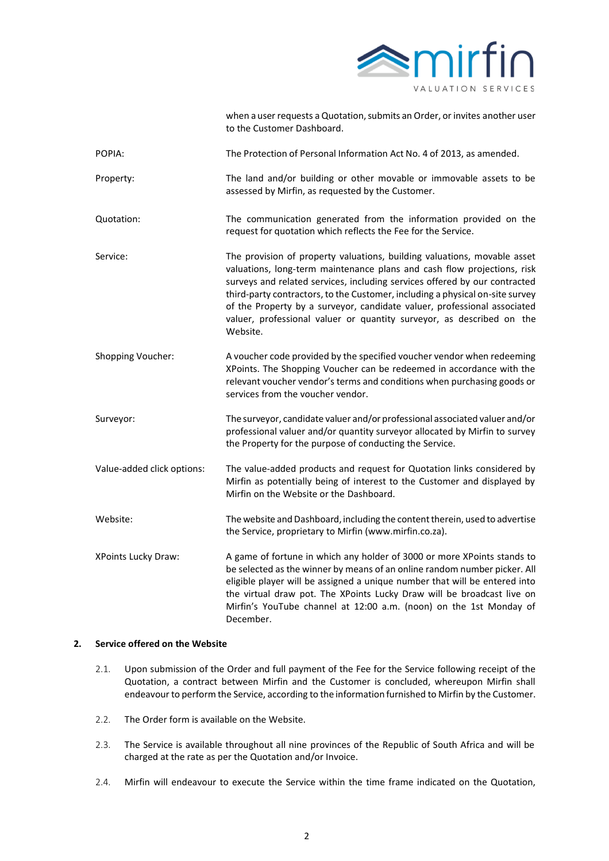

|                            | when a user requests a Quotation, submits an Order, or invites another user<br>to the Customer Dashboard.                                                                                                                                                                                                                                                                                                                                                                           |  |  |
|----------------------------|-------------------------------------------------------------------------------------------------------------------------------------------------------------------------------------------------------------------------------------------------------------------------------------------------------------------------------------------------------------------------------------------------------------------------------------------------------------------------------------|--|--|
| POPIA:                     | The Protection of Personal Information Act No. 4 of 2013, as amended.                                                                                                                                                                                                                                                                                                                                                                                                               |  |  |
| Property:                  | The land and/or building or other movable or immovable assets to be<br>assessed by Mirfin, as requested by the Customer.                                                                                                                                                                                                                                                                                                                                                            |  |  |
| Quotation:                 | The communication generated from the information provided on the<br>request for quotation which reflects the Fee for the Service.                                                                                                                                                                                                                                                                                                                                                   |  |  |
| Service:                   | The provision of property valuations, building valuations, movable asset<br>valuations, long-term maintenance plans and cash flow projections, risk<br>surveys and related services, including services offered by our contracted<br>third-party contractors, to the Customer, including a physical on-site survey<br>of the Property by a surveyor, candidate valuer, professional associated<br>valuer, professional valuer or quantity surveyor, as described on the<br>Website. |  |  |
| Shopping Voucher:          | A voucher code provided by the specified voucher vendor when redeeming<br>XPoints. The Shopping Voucher can be redeemed in accordance with the<br>relevant voucher vendor's terms and conditions when purchasing goods or<br>services from the voucher vendor.                                                                                                                                                                                                                      |  |  |
| Surveyor:                  | The surveyor, candidate valuer and/or professional associated valuer and/or<br>professional valuer and/or quantity surveyor allocated by Mirfin to survey<br>the Property for the purpose of conducting the Service.                                                                                                                                                                                                                                                                |  |  |
| Value-added click options: | The value-added products and request for Quotation links considered by<br>Mirfin as potentially being of interest to the Customer and displayed by<br>Mirfin on the Website or the Dashboard.                                                                                                                                                                                                                                                                                       |  |  |
| Website:                   | The website and Dashboard, including the content therein, used to advertise<br>the Service, proprietary to Mirfin (www.mirfin.co.za).                                                                                                                                                                                                                                                                                                                                               |  |  |
| <b>XPoints Lucky Draw:</b> | A game of fortune in which any holder of 3000 or more XPoints stands to<br>be selected as the winner by means of an online random number picker. All<br>eligible player will be assigned a unique number that will be entered into<br>the virtual draw pot. The XPoints Lucky Draw will be broadcast live on<br>Mirfin's YouTube channel at 12:00 a.m. (noon) on the 1st Monday of<br>December.                                                                                     |  |  |

# **2. Service offered on the Website**

- 2.1. Upon submission of the Order and full payment of the Fee for the Service following receipt of the Quotation, a contract between Mirfin and the Customer is concluded, whereupon Mirfin shall endeavour to perform the Service, according to the information furnished to Mirfin by the Customer.
- 2.2. The Order form is available on the Website.
- 2.3. The Service is available throughout all nine provinces of the Republic of South Africa and will be charged at the rate as per the Quotation and/or Invoice.
- 2.4. Mirfin will endeavour to execute the Service within the time frame indicated on the Quotation,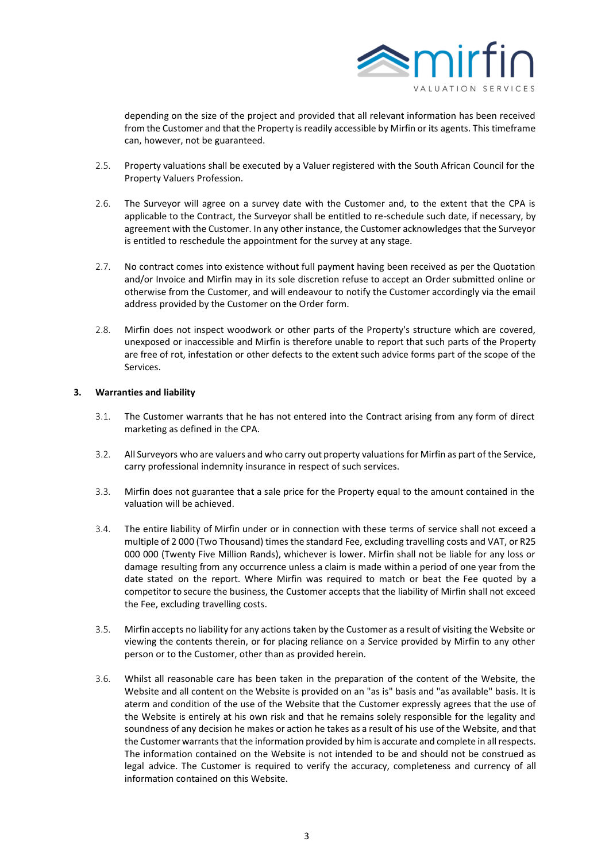

depending on the size of the project and provided that all relevant information has been received from the Customer and that the Property is readily accessible by Mirfin or its agents. This timeframe can, however, not be guaranteed.

- 2.5. Property valuations shall be executed by a Valuer registered with the South African Council for the Property Valuers Profession.
- 2.6. The Surveyor will agree on a survey date with the Customer and, to the extent that the CPA is applicable to the Contract, the Surveyor shall be entitled to re-schedule such date, if necessary, by agreement with the Customer. In any other instance, the Customer acknowledges that the Surveyor is entitled to reschedule the appointment for the survey at any stage.
- 2.7. No contract comes into existence without full payment having been received as per the Quotation and/or Invoice and Mirfin may in its sole discretion refuse to accept an Order submitted online or otherwise from the Customer, and will endeavour to notify the Customer accordingly via the email address provided by the Customer on the Order form.
- 2.8. Mirfin does not inspect woodwork or other parts of the Property's structure which are covered, unexposed or inaccessible and Mirfin is therefore unable to report that such parts of the Property are free of rot, infestation or other defects to the extent such advice forms part of the scope of the Services.

# **3. Warranties and liability**

- 3.1. The Customer warrants that he has not entered into the Contract arising from any form of direct marketing as defined in the CPA.
- 3.2. All Surveyors who are valuers and who carry out property valuations for Mirfin as part of the Service, carry professional indemnity insurance in respect of such services.
- 3.3. Mirfin does not guarantee that a sale price for the Property equal to the amount contained in the valuation will be achieved.
- 3.4. The entire liability of Mirfin under or in connection with these terms of service shall not exceed a multiple of 2 000 (Two Thousand) times the standard Fee, excluding travelling costs and VAT, or R25 000 000 (Twenty Five Million Rands), whichever is lower. Mirfin shall not be liable for any loss or damage resulting from any occurrence unless a claim is made within a period of one year from the date stated on the report. Where Mirfin was required to match or beat the Fee quoted by a competitor to secure the business, the Customer accepts that the liability of Mirfin shall not exceed the Fee, excluding travelling costs.
- 3.5. Mirfin accepts no liability for any actions taken by the Customer as a result of visiting the Website or viewing the contents therein, or for placing reliance on a Service provided by Mirfin to any other person or to the Customer, other than as provided herein.
- 3.6. Whilst all reasonable care has been taken in the preparation of the content of the Website, the Website and all content on the Website is provided on an "as is" basis and "as available" basis. It is aterm and condition of the use of the Website that the Customer expressly agrees that the use of the Website is entirely at his own risk and that he remains solely responsible for the legality and soundness of any decision he makes or action he takes as a result of his use of the Website, and that the Customer warrants that the information provided by him is accurate and complete in all respects. The information contained on the Website is not intended to be and should not be construed as legal advice. The Customer is required to verify the accuracy, completeness and currency of all information contained on this Website.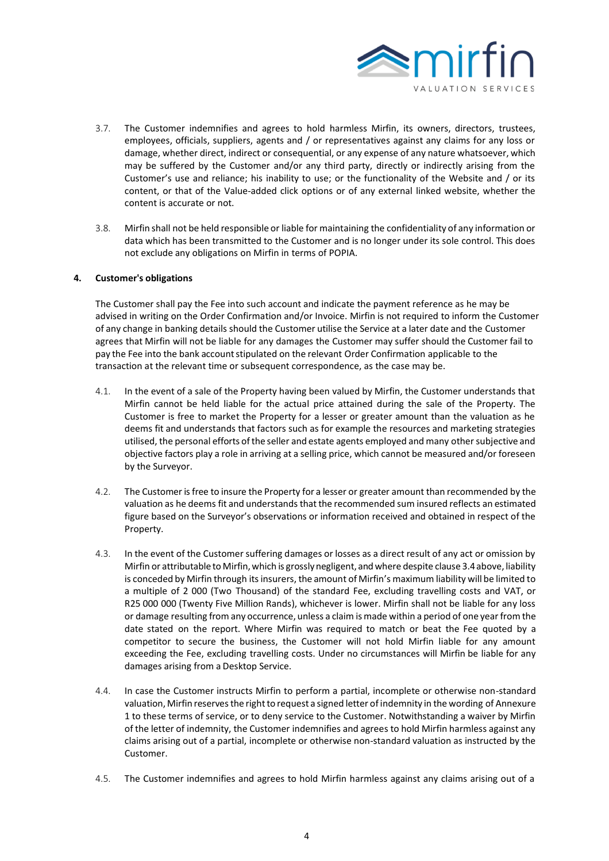

- 3.7. The Customer indemnifies and agrees to hold harmless Mirfin, its owners, directors, trustees, employees, officials, suppliers, agents and / or representatives against any claims for any loss or damage, whether direct, indirect or consequential, or any expense of any nature whatsoever, which may be suffered by the Customer and/or any third party, directly or indirectly arising from the Customer's use and reliance; his inability to use; or the functionality of the Website and / or its content, or that of the Value-added click options or of any external linked website, whether the content is accurate or not.
- 3.8. Mirfin shall not be held responsible or liable for maintaining the confidentiality of any information or data which has been transmitted to the Customer and is no longer under its sole control. This does not exclude any obligations on Mirfin in terms of POPIA.

# **4. Customer's obligations**

The Customer shall pay the Fee into such account and indicate the payment reference as he may be advised in writing on the Order Confirmation and/or Invoice. Mirfin is not required to inform the Customer of any change in banking details should the Customer utilise the Service at a later date and the Customer agrees that Mirfin will not be liable for any damages the Customer may suffer should the Customer fail to pay the Fee into the bank accountstipulated on the relevant Order Confirmation applicable to the transaction at the relevant time or subsequent correspondence, as the case may be.

- 4.1. In the event of a sale of the Property having been valued by Mirfin, the Customer understands that Mirfin cannot be held liable for the actual price attained during the sale of the Property. The Customer is free to market the Property for a lesser or greater amount than the valuation as he deems fit and understands that factors such as for example the resources and marketing strategies utilised, the personal efforts of the seller and estate agents employed and many other subjective and objective factors play a role in arriving at a selling price, which cannot be measured and/or foreseen by the Surveyor.
- 4.2. The Customer isfree to insure the Property for a lesser or greater amount than recommended by the valuation as he deems fit and understands that the recommended sum insured reflects an estimated figure based on the Surveyor's observations or information received and obtained in respect of the Property.
- 4.3. In the event of the Customer suffering damages or losses as a direct result of any act or omission by Mirfin or attributable to Mirfin,which is grosslynegligent, and where despite clause 3.4above, liability is conceded by Mirfin through its insurers, the amount of Mirfin's maximum liability will be limited to a multiple of 2 000 (Two Thousand) of the standard Fee, excluding travelling costs and VAT, or R25 000 000 (Twenty Five Million Rands), whichever is lower. Mirfin shall not be liable for any loss or damage resulting from any occurrence, unless a claim is made within a period of one year from the date stated on the report. Where Mirfin was required to match or beat the Fee quoted by a competitor to secure the business, the Customer will not hold Mirfin liable for any amount exceeding the Fee, excluding travelling costs. Under no circumstances will Mirfin be liable for any damages arising from a Desktop Service.
- 4.4. In case the Customer instructs Mirfin to perform a partial, incomplete or otherwise non-standard valuation, Mirfin reserves the right to request a signed letter of indemnity in the wording of Annexure 1 to these terms of service, or to deny service to the Customer. Notwithstanding a waiver by Mirfin of the letter of indemnity, the Customer indemnifies and agrees to hold Mirfin harmless against any claims arising out of a partial, incomplete or otherwise non-standard valuation as instructed by the Customer.
- 4.5. The Customer indemnifies and agrees to hold Mirfin harmless against any claims arising out of a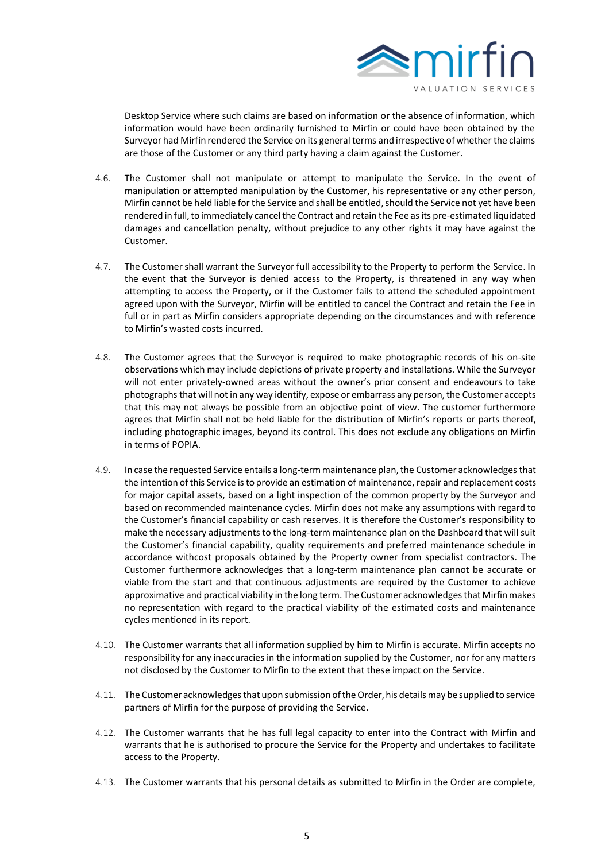

Desktop Service where such claims are based on information or the absence of information, which information would have been ordinarily furnished to Mirfin or could have been obtained by the Surveyor had Mirfin rendered the Service on its general terms and irrespective of whether the claims are those of the Customer or any third party having a claim against the Customer.

- 4.6. The Customer shall not manipulate or attempt to manipulate the Service. In the event of manipulation or attempted manipulation by the Customer, his representative or any other person, Mirfin cannot be held liable forthe Service and shall be entitled,should the Service not yet have been rendered in full, to immediately cancel the Contract and retain the Fee as its pre-estimated liquidated damages and cancellation penalty, without prejudice to any other rights it may have against the Customer.
- 4.7. The Customershall warrant the Surveyor full accessibility to the Property to perform the Service. In the event that the Surveyor is denied access to the Property, is threatened in any way when attempting to access the Property, or if the Customer fails to attend the scheduled appointment agreed upon with the Surveyor, Mirfin will be entitled to cancel the Contract and retain the Fee in full or in part as Mirfin considers appropriate depending on the circumstances and with reference to Mirfin's wasted costs incurred.
- 4.8. The Customer agrees that the Surveyor is required to make photographic records of his on-site observations which may include depictions of private property and installations. While the Surveyor will not enter privately-owned areas without the owner's prior consent and endeavours to take photographs that will not in any way identify, expose or embarrass any person, the Customer accepts that this may not always be possible from an objective point of view. The customer furthermore agrees that Mirfin shall not be held liable for the distribution of Mirfin's reports or parts thereof, including photographic images, beyond its control. This does not exclude any obligations on Mirfin in terms of POPIA.
- 4.9. In case the requested Service entails a long-term maintenance plan, the Customer acknowledges that the intention of this Service isto provide an estimation of maintenance, repair and replacement costs for major capital assets, based on a light inspection of the common property by the Surveyor and based on recommended maintenance cycles. Mirfin does not make any assumptions with regard to the Customer's financial capability or cash reserves. It is therefore the Customer's responsibility to make the necessary adjustments to the long-term maintenance plan on the Dashboard that will suit the Customer's financial capability, quality requirements and preferred maintenance schedule in accordance withcost proposals obtained by the Property owner from specialist contractors. The Customer furthermore acknowledges that a long-term maintenance plan cannot be accurate or viable from the start and that continuous adjustments are required by the Customer to achieve approximative and practical viability in the long term. The Customer acknowledges that Mirfin makes no representation with regard to the practical viability of the estimated costs and maintenance cycles mentioned in its report.
- 4.10. The Customer warrants that all information supplied by him to Mirfin is accurate. Mirfin accepts no responsibility for any inaccuracies in the information supplied by the Customer, nor for any matters not disclosed by the Customer to Mirfin to the extent that these impact on the Service.
- 4.11. The Customer acknowledges that upon submission of the Order, his details may be supplied to service partners of Mirfin for the purpose of providing the Service.
- 4.12. The Customer warrants that he has full legal capacity to enter into the Contract with Mirfin and warrants that he is authorised to procure the Service for the Property and undertakes to facilitate access to the Property.
- 4.13. The Customer warrants that his personal details as submitted to Mirfin in the Order are complete,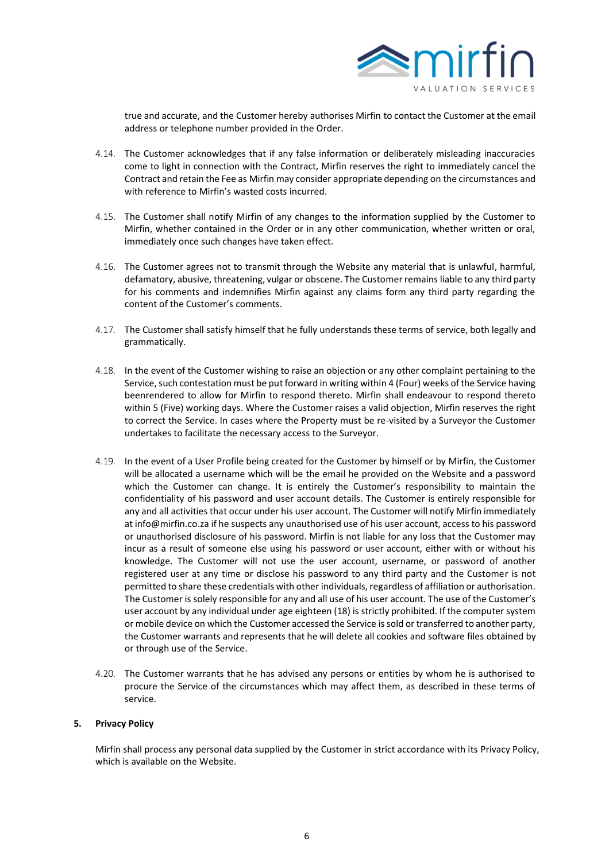

true and accurate, and the Customer hereby authorises Mirfin to contact the Customer at the email address or telephone number provided in the Order.

- 4.14. The Customer acknowledges that if any false information or deliberately misleading inaccuracies come to light in connection with the Contract, Mirfin reserves the right to immediately cancel the Contract and retain the Fee as Mirfin may consider appropriate depending on the circumstances and with reference to Mirfin's wasted costs incurred.
- 4.15. The Customer shall notify Mirfin of any changes to the information supplied by the Customer to Mirfin, whether contained in the Order or in any other communication, whether written or oral, immediately once such changes have taken effect.
- 4.16. The Customer agrees not to transmit through the Website any material that is unlawful, harmful, defamatory, abusive, threatening, vulgar or obscene. The Customer remains liable to any third party for his comments and indemnifies Mirfin against any claims form any third party regarding the content of the Customer's comments.
- 4.17. The Customer shall satisfy himself that he fully understands these terms of service, both legally and grammatically.
- 4.18. In the event of the Customer wishing to raise an objection or any other complaint pertaining to the Service, such contestation must be put forward in writing within 4 (Four) weeks of the Service having beenrendered to allow for Mirfin to respond thereto. Mirfin shall endeavour to respond thereto within 5 (Five) working days. Where the Customer raises a valid objection, Mirfin reserves the right to correct the Service. In cases where the Property must be re-visited by a Surveyor the Customer undertakes to facilitate the necessary access to the Surveyor.
- 4.19. In the event of a User Profile being created for the Customer by himself or by Mirfin, the Customer will be allocated a username which will be the email he provided on the Website and a password which the Customer can change. It is entirely the Customer's responsibility to maintain the confidentiality of his password and user account details. The Customer is entirely responsible for any and all activities that occur under his user account. The Customer will notify Mirfin immediately at [info@mirfin.co.za](mailto:info@mirfin.co.za) if he suspects any unauthorised use of his user account, access to his password or unauthorised disclosure of his password. Mirfin is not liable for any loss that the Customer may incur as a result of someone else using his password or user account, either with or without his knowledge. The Customer will not use the user account, username, or password of another registered user at any time or disclose his password to any third party and the Customer is not permitted to share these credentials with other individuals, regardless of affiliation or authorisation. The Customer is solely responsible for any and all use of his user account. The use of the Customer's user account by any individual under age eighteen (18) is strictly prohibited. If the computer system or mobile device on which the Customer accessed the Service is sold or transferred to another party, the Customer warrants and represents that he will delete all cookies and software files obtained by or through use of the Service.
- 4.20. The Customer warrants that he has advised any persons or entities by whom he is authorised to procure the Service of the circumstances which may affect them, as described in these terms of service.

#### **5. Privacy Policy**

Mirfin shall process any personal data supplied by the Customer in strict accordance with its Privacy Policy, which is available on the Website.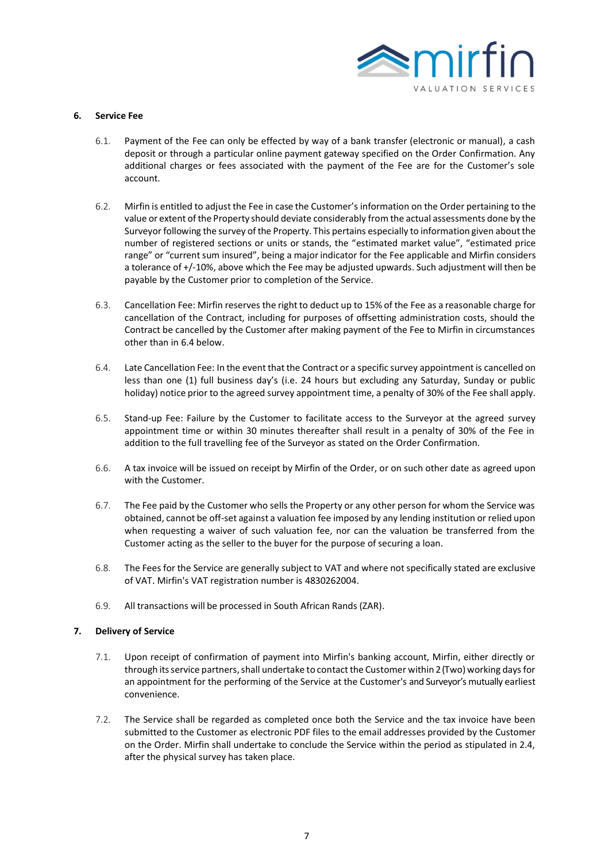

### **6. Service Fee**

- 6.1. Payment of the Fee can only be effected by way of a bank transfer (electronic or manual), a cash deposit or through a particular online payment gateway specified on the Order Confirmation. Any additional charges or fees associated with the payment of the Fee are for the Customer's sole account.
- 6.2. Mirfin is entitled to adjust the Fee in case the Customer's information on the Order pertaining to the value or extent of the Property should deviate considerably from the actual assessments done by the Surveyor following the survey of the Property. This pertains especially to information given about the number of registered sections or units or stands, the "estimated market value", "estimated price range" or "current sum insured", being a major indicator for the Fee applicable and Mirfin considers a tolerance of +/-10%, above which the Fee may be adjusted upwards. Such adjustment will then be payable by the Customer prior to completion of the Service.
- 6.3. Cancellation Fee: Mirfin reserves the rightto deduct up to 15% of the Fee as a reasonable charge for cancellation of the Contract, including for purposes of offsetting administration costs, should the Contract be cancelled by the Customer after making payment of the Fee to Mirfin in circumstances other than in 6.4 below.
- 6.4. Late Cancellation Fee: In the event that the Contract or a specific survey appointment is cancelled on less than one (1) full business day's (i.e. 24 hours but excluding any Saturday, Sunday or public holiday) notice prior to the agreed survey appointment time, a penalty of 30% of the Fee shall apply.
- 6.5. Stand-up Fee: Failure by the Customer to facilitate access to the Surveyor at the agreed survey appointment time or within 30 minutes thereafter shall result in a penalty of 30% of the Fee in addition to the full travelling fee of the Surveyor as stated on the Order Confirmation.
- 6.6. A tax invoice will be issued on receipt by Mirfin of the Order, or on such other date as agreed upon with the Customer.
- 6.7. The Fee paid by the Customer who sells the Property or any other person for whom the Service was obtained, cannot be off-set against a valuation fee imposed by any lending institution or relied upon when requesting a waiver of such valuation fee, nor can the valuation be transferred from the Customer acting as the seller to the buyer for the purpose of securing a loan.
- 6.8. The Fees for the Service are generally subject to VAT and where not specifically stated are exclusive of VAT. Mirfin's VAT registration number is 4830262004.
- 6.9. All transactions will be processed in South African Rands (ZAR).

#### **7. Delivery of Service**

- 7.1. Upon receipt of confirmation of payment into Mirfin's banking account, Mirfin, either directly or through its service partners, shall undertake to contact the Customer within 2 (Two) working days for an appointment for the performing of the Service at the Customer's and Surveyor's mutually earliest convenience.
- 7.2. The Service shall be regarded as completed once both the Service and the tax invoice have been submitted to the Customer as electronic PDF files to the email addresses provided by the Customer on the Order. Mirfin shall undertake to conclude the Service within the period as stipulated in 2.4, after the physical survey has taken place.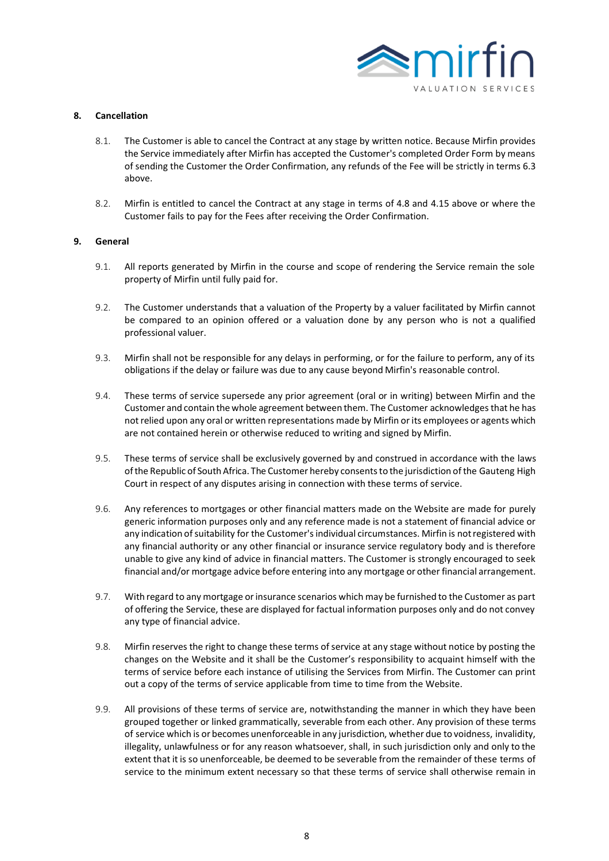

### **8. Cancellation**

- 8.1. The Customer is able to cancel the Contract at any stage by written notice. Because Mirfin provides the Service immediately after Mirfin has accepted the Customer's completed Order Form by means of sending the Customer the Order Confirmation, any refunds of the Fee will be strictly in terms 6.3 above.
- 8.2. Mirfin is entitled to cancel the Contract at any stage in terms of 4.8 and 4.15 above or where the Customer fails to pay for the Fees after receiving the Order Confirmation.

### **9. General**

- 9.1. All reports generated by Mirfin in the course and scope of rendering the Service remain the sole property of Mirfin until fully paid for.
- 9.2. The Customer understands that a valuation of the Property by a valuer facilitated by Mirfin cannot be compared to an opinion offered or a valuation done by any person who is not a qualified professional valuer.
- 9.3. Mirfin shall not be responsible for any delays in performing, or for the failure to perform, any of its obligations if the delay or failure was due to any cause beyond Mirfin's reasonable control.
- 9.4. These terms of service supersede any prior agreement (oral or in writing) between Mirfin and the Customer and contain the whole agreement between them. The Customer acknowledges that he has notrelied upon any oral or written representations made by Mirfin or its employees or agents which are not contained herein or otherwise reduced to writing and signed by Mirfin.
- 9.5. These terms of service shall be exclusively governed by and construed in accordance with the laws ofthe Republic of South Africa. The Customer hereby consentsto the jurisdiction ofthe Gauteng High Court in respect of any disputes arising in connection with these terms of service.
- 9.6. Any references to mortgages or other financial matters made on the Website are made for purely generic information purposes only and any reference made is not a statement of financial advice or any indication ofsuitability for the Customer'sindividual circumstances. Mirfin is notregistered with any financial authority or any other financial or insurance service regulatory body and is therefore unable to give any kind of advice in financial matters. The Customer is strongly encouraged to seek financial and/or mortgage advice before entering into any mortgage or other financial arrangement.
- 9.7. With regard to any mortgage orinsurance scenarios which may be furnished to the Customer as part of offering the Service, these are displayed for factual information purposes only and do not convey any type of financial advice.
- 9.8. Mirfin reserves the right to change these terms of service at any stage without notice by posting the changes on the Website and it shall be the Customer's responsibility to acquaint himself with the terms of service before each instance of utilising the Services from Mirfin. The Customer can print out a copy of the terms of service applicable from time to time from the Website.
- 9.9. All provisions of these terms of service are, notwithstanding the manner in which they have been grouped together or linked grammatically, severable from each other. Any provision of these terms of service which is or becomes unenforceable in any jurisdiction, whether due to voidness, invalidity, illegality, unlawfulness or for any reason whatsoever, shall, in such jurisdiction only and only to the extent that it is so unenforceable, be deemed to be severable from the remainder of these terms of service to the minimum extent necessary so that these terms of service shall otherwise remain in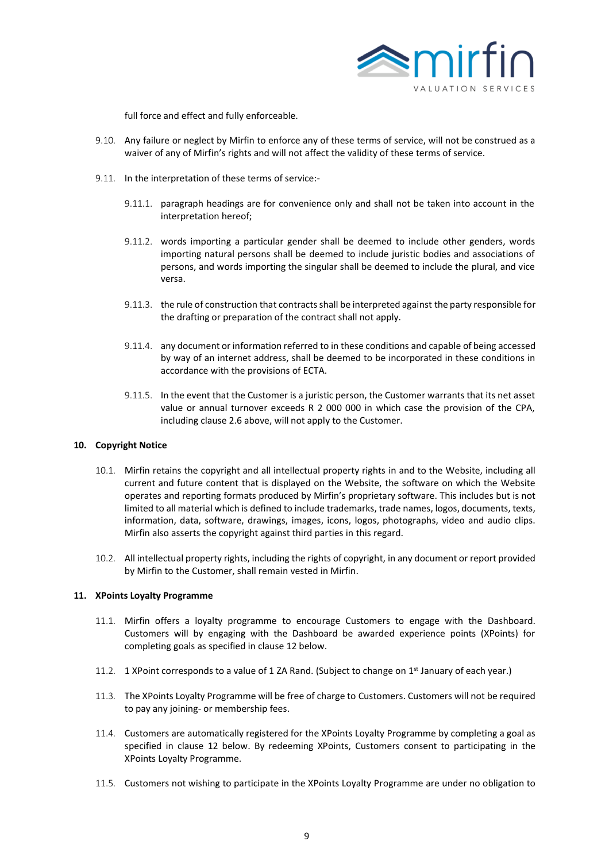

full force and effect and fully enforceable.

- 9.10. Any failure or neglect by Mirfin to enforce any of these terms of service, will not be construed as a waiver of any of Mirfin's rights and will not affect the validity of these terms of service.
- 9.11. In the interpretation of these terms of service:-
	- 9.11.1. paragraph headings are for convenience only and shall not be taken into account in the interpretation hereof;
	- 9.11.2. words importing a particular gender shall be deemed to include other genders, words importing natural persons shall be deemed to include juristic bodies and associations of persons, and words importing the singular shall be deemed to include the plural, and vice versa.
	- 9.11.3. the rule of construction that contracts shall be interpreted against the party responsible for the drafting or preparation of the contract shall not apply.
	- 9.11.4. any document or information referred to in these conditions and capable of being accessed by way of an internet address, shall be deemed to be incorporated in these conditions in accordance with the provisions of ECTA.
	- 9.11.5. In the event that the Customer is a juristic person, the Customer warrants that its net asset value or annual turnover exceeds R 2 000 000 in which case the provision of the CPA, including clause 2.6 above, will not apply to the Customer.

# **10. Copyright Notice**

- 10.1. Mirfin retains the copyright and all intellectual property rights in and to the Website, including all current and future content that is displayed on the Website, the software on which the Website operates and reporting formats produced by Mirfin's proprietary software. This includes but is not limited to all material which is defined to include trademarks, trade names, logos, documents, texts, information, data, software, drawings, images, icons, logos, photographs, video and audio clips. Mirfin also asserts the copyright against third parties in this regard.
- 10.2. All intellectual property rights, including the rights of copyright, in any document or report provided by Mirfin to the Customer, shall remain vested in Mirfin.

#### **11. XPoints Loyalty Programme**

- 11.1. Mirfin offers a loyalty programme to encourage Customers to engage with the Dashboard. Customers will by engaging with the Dashboard be awarded experience points (XPoints) for completing goals as specified in clause 12 below.
- 11.2. 1 XPoint corresponds to a value of 1 ZA Rand. (Subject to change on  $1^{st}$  January of each year.)
- 11.3. The XPoints Loyalty Programme will be free of charge to Customers. Customers will not be required to pay any joining- or membership fees.
- 11.4. Customers are automatically registered for the XPoints Loyalty Programme by completing a goal as specified in clause 12 below. By redeeming XPoints, Customers consent to participating in the XPoints Loyalty Programme.
- 11.5. Customers not wishing to participate in the XPoints Loyalty Programme are under no obligation to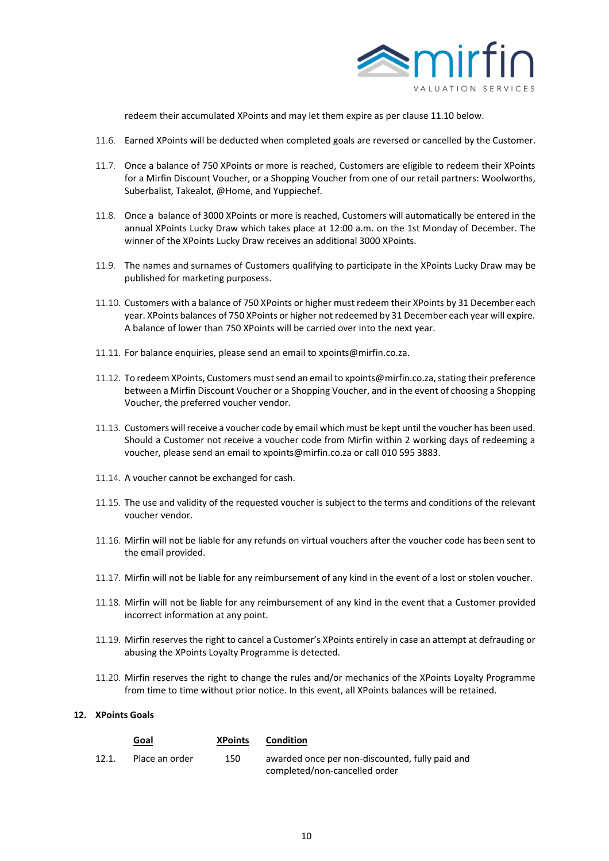

redeem their accumulated XPoints and may let them expire as per clause 11.10 below.

- 11.6. Earned XPoints will be deducted when completed goals are reversed or cancelled by the Customer.
- 11.7. Once a balance of 750 XPoints or more is reached, Customers are eligible to redeem their XPoints for a Mirfin Discount Voucher, or a Shopping Voucher from one of our retail partners: Woolworths, Suberbalist, Takealot, @Home, and Yuppiechef.
- 11.8. Once a balance of 3000 XPoints or more is reached, Customers will automatically be entered in the annual XPoints Lucky Draw which takes place at 12:00 a.m. on the 1st Monday of December. The winner of the XPoints Lucky Draw receives an additional 3000 XPoints.
- 11.9. The names and surnames of Customers qualifying to participate in the XPoints Lucky Draw may be published for marketing purposess.
- 11.10. Customers with a balance of 750 XPoints or higher must redeem their XPoints by 31 December each year. XPoints balances of 750 XPoints or higher not redeemed by 31 December each year will expire. A balance of lower than 750 XPoints will be carried over into the next year.
- 11.11. For balance enquiries, please send an email to xpoints@mirfin.co.za.
- 11.12. To redeem XPoints, Customers must send an email to xpoints@mirfin.co.za, stating their preference between a Mirfin Discount Voucher or a Shopping Voucher, and in the event of choosing a Shopping Voucher, the preferred voucher vendor.
- 11.13. Customers will receive a voucher code by email which must be kept until the voucher has been used. Should a Customer not receive a voucher code from Mirfin within 2 working days of redeeming a voucher, please send an email to xpoints@mirfin.co.za or call 010 595 3883.
- 11.14. A voucher cannot be exchanged for cash.
- 11.15. The use and validity of the requested voucher is subject to the terms and conditions of the relevant voucher vendor.
- 11.16. Mirfin will not be liable for any refunds on virtual vouchers after the voucher code has been sent to the email provided.
- 11.17. Mirfin will not be liable for any reimbursement of any kind in the event of a lost or stolen voucher.
- 11.18. Mirfin will not be liable for any reimbursement of any kind in the event that a Customer provided incorrect information at any point.
- 11.19. Mirfin reserves the right to cancel a Customer's XPoints entirely in case an attempt at defrauding or abusing the XPoints Loyalty Programme is detected.
- 11.20. Mirfin reserves the right to change the rules and/or mechanics of the XPoints Loyalty Programme from time to time without prior notice. In this event, all XPoints balances will be retained.

# **12. XPoints Goals**

|       | Goal           | <b>XPoints</b> | Condition                                                                        |
|-------|----------------|----------------|----------------------------------------------------------------------------------|
| 12.1. | Place an order | 150            | awarded once per non-discounted, fully paid and<br>completed/non-cancelled order |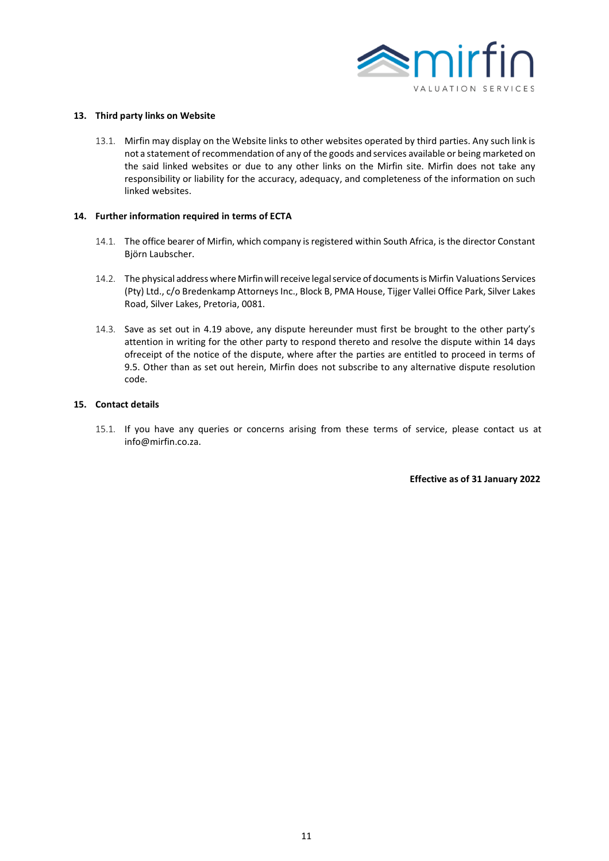

#### **13. Third party links on Website**

13.1. Mirfin may display on the Website links to other websites operated by third parties. Any such link is not a statement ofrecommendation of any of the goods and services available or being marketed on the said linked websites or due to any other links on the Mirfin site. Mirfin does not take any responsibility or liability for the accuracy, adequacy, and completeness of the information on such linked websites.

#### **14. Further information required in terms of ECTA**

- 14.1. The office bearer of Mirfin, which company is registered within South Africa, is the director Constant Björn Laubscher.
- 14.2. The physical address where Mirfinwillreceive legalservice of documentsis Mirfin Valuations Services (Pty) Ltd., c/o Bredenkamp Attorneys Inc., Block B, PMA House, Tijger Vallei Office Park, Silver Lakes Road, Silver Lakes, Pretoria, 0081.
- 14.3. Save as set out in 4.19 above, any dispute hereunder must first be brought to the other party's attention in writing for the other party to respond thereto and resolve the dispute within 14 days ofreceipt of the notice of the dispute, where after the parties are entitled to proceed in terms of 9.5. Other than as set out herein, Mirfin does not subscribe to any alternative dispute resolution code.

### **15. Contact details**

15.1. If you have any queries or concerns arising from these terms of service, please contact us at info@mirfin.co.za.

**Effective as of 31 January 2022**